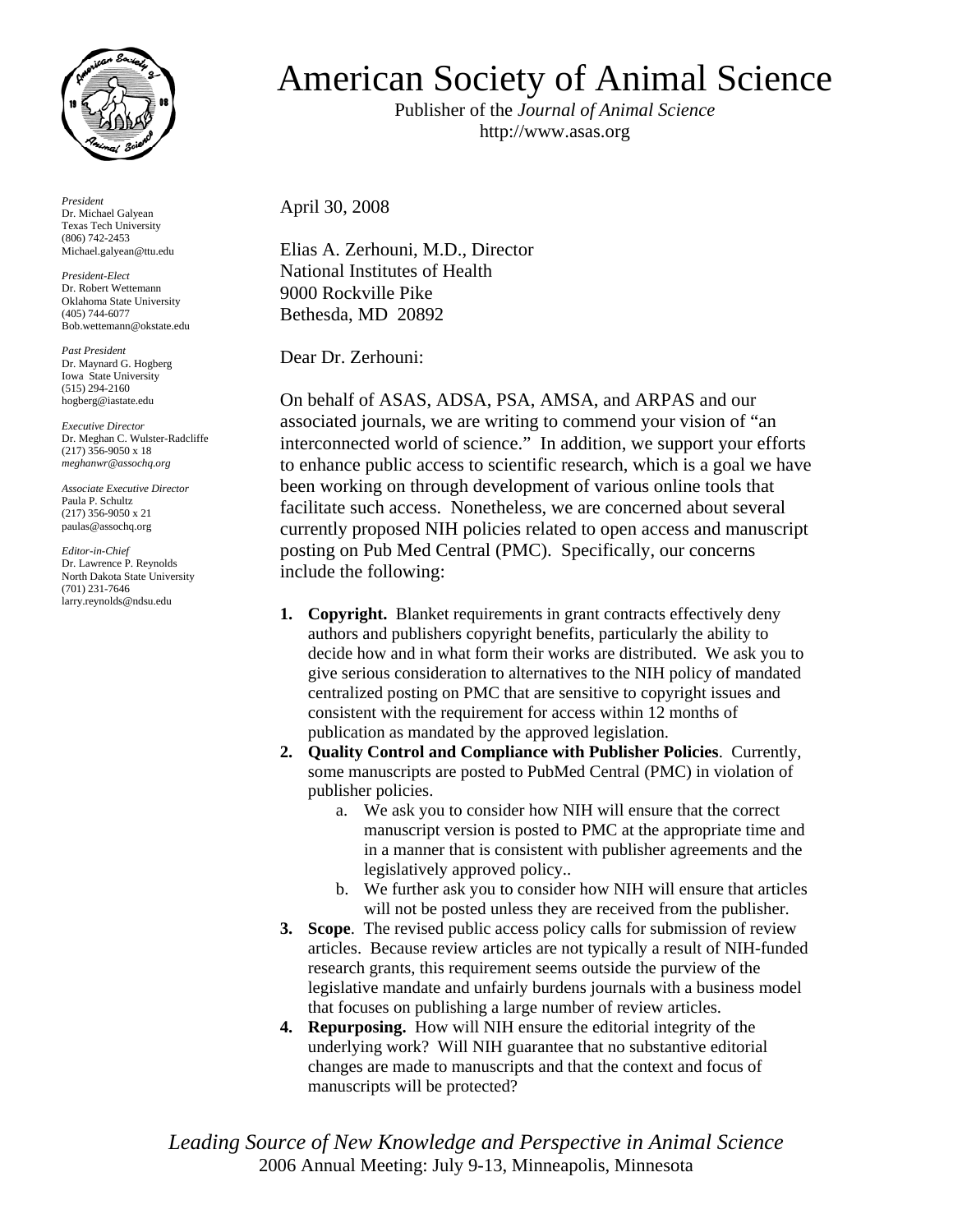

*President* Dr. Michael Galyean Texas Tech University (806) 742-2453 Michael.galyean@ttu.edu

*President-Elect*  Dr. Robert Wettemann Oklahoma State University (405) 744-6077 Bob.wettemann@okstate.edu

*Past President* Dr. Maynard G. Hogberg Iowa State University (515) 294-2160 hogberg@iastate.edu

*Executive Director* Dr. Meghan C. Wulster-Radcliffe (217) 356-9050 x 18 *meghanwr@assochq.org* 

*Associate Executive Director* Paula P. Schultz (217) 356-9050 x 21 paulas@assochq.org

*Editor-in-Chief*  Dr. Lawrence P. Reynolds North Dakota State University (701) 231-7646 larry.reynolds@ndsu.edu

## American Society of Animal Science

Publisher of the *Journal of Animal Science* http://www.asas.org

April 30, 2008

Elias A. Zerhouni, M.D., Director National Institutes of Health 9000 Rockville Pike Bethesda, MD 20892

Dear Dr. Zerhouni:

On behalf of ASAS, ADSA, PSA, AMSA, and ARPAS and our associated journals, we are writing to commend your vision of "an interconnected world of science." In addition, we support your efforts to enhance public access to scientific research, which is a goal we have been working on through development of various online tools that facilitate such access. Nonetheless, we are concerned about several currently proposed NIH policies related to open access and manuscript posting on Pub Med Central (PMC). Specifically, our concerns include the following:

- **1. Copyright.** Blanket requirements in grant contracts effectively deny authors and publishers copyright benefits, particularly the ability to decide how and in what form their works are distributed. We ask you to give serious consideration to alternatives to the NIH policy of mandated centralized posting on PMC that are sensitive to copyright issues and consistent with the requirement for access within 12 months of publication as mandated by the approved legislation.
- **2. Quality Control and Compliance with Publisher Policies**. Currently, some manuscripts are posted to PubMed Central (PMC) in violation of publisher policies.
	- a. We ask you to consider how NIH will ensure that the correct manuscript version is posted to PMC at the appropriate time and in a manner that is consistent with publisher agreements and the legislatively approved policy..
	- b. We further ask you to consider how NIH will ensure that articles will not be posted unless they are received from the publisher.
- **3. Scope**. The revised public access policy calls for submission of review articles. Because review articles are not typically a result of NIH-funded research grants, this requirement seems outside the purview of the legislative mandate and unfairly burdens journals with a business model that focuses on publishing a large number of review articles.
- **4. Repurposing.** How will NIH ensure the editorial integrity of the underlying work? Will NIH guarantee that no substantive editorial changes are made to manuscripts and that the context and focus of manuscripts will be protected?

*Leading Source of New Knowledge and Perspective in Animal Science*  2006 Annual Meeting: July 9-13, Minneapolis, Minnesota